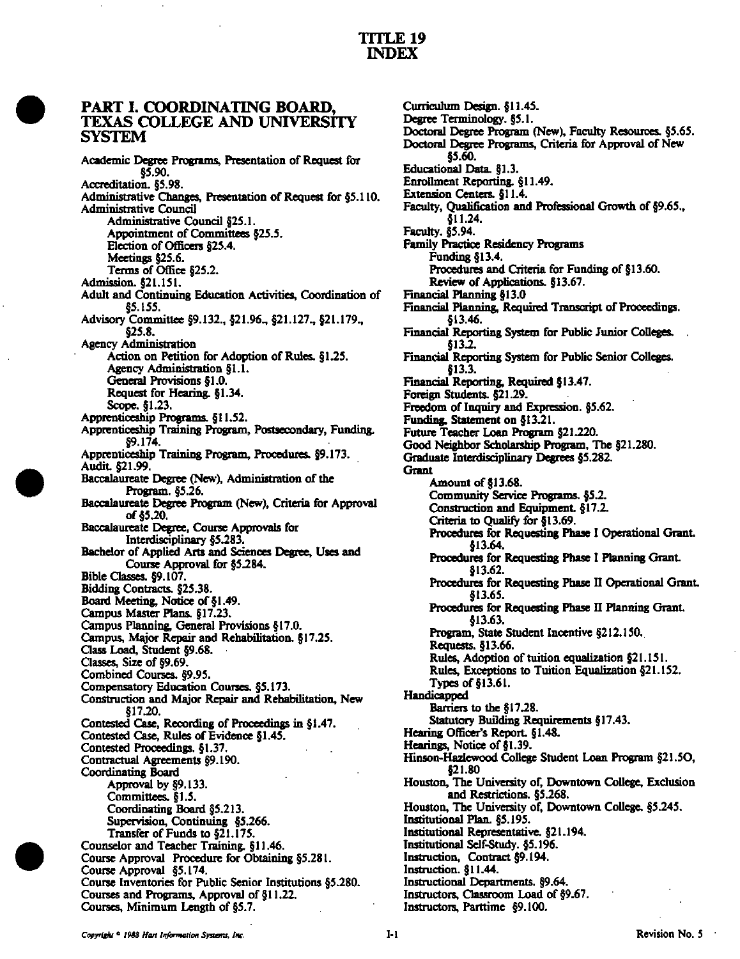## PART I. COORDINATING BOARD, TEXAS COLLEGE AND UNIVERSITY SVSTEM

Academic Degree Programs, Presentation of Request for §5.90. Accreditation. §5.98. Administrative Changes, Presentation of Request for §5.110. Administrative Council Administrative Council §25.1. Appointment of Committees §25.5. Election of Officers §25.4. Meetings §25.6. Terms of Office §25.2. Admission. §21.151. Adult and Continuing Education Activities, Coordination of §5.155. Advisory Committee §9.132., §21.96., §21.127.. §21.179., §25.8. Agency Administration Action on Petition for Adoption of Rules. §1.25. Agency Administration §1.1. General Provisions §1.0. Request for Hearing. §1.34. Scope. §1.23. Apprenticeship Programs. §11.52. Apprenticeship Training Program, Postsecondary. Funding. §9.174. Apprenticeship Training Program, Procedures. §9.173. Audit §21.99. Baccalaureate Degree (New), Administration of the Program. §5.26. Baccalaureate Degree Program (New), Criteria for Approval of §5.20. Baccalaureate Degree, Course Approvals for Interdisciplinary §5.283. Bachelor of Applied Arts and Sciences Degree, Uses and Course Approval for §5.284. Bible Classes. §9.107. Bidding Contracts. §25.38. Board Meeting, Notice of §1.49. Campus Master Plans. §17.23. Campus Planning, General Provisions §17.0. Campus, Major Repair and Rehabilitation. §17.25. Cass Lead, Student §9.68. Oasses, Size of §9.69. Combined Courses. §9.95. Compensatory Education Courses. §5.173. Construction and Major Repair and Rehabilitation, New §17.20. Contested Case, Recording of Proceedings in §1.47. Contested Case, Rules of Evidence §1.45. Contested Proceedings. §1.37. Contractual Agreements §9.190. Coordinating Board Approval by §9.133. Committees. §1.5. Coordinating Board §5.213. Supervision, Continuing §5.266. Transfer of Funds to §21.175. Counselor and Teacher Training. § 11.46. Course Approval Procedure for Obtaining §5.281. Course Approval §5.174. Course Inventories for Public Senior Institutions §5.280. Courses and Programs, Approval of §11.22. Courses, Minimum Length of §5.7.

Curriculum Design. §11.45. Degree Terminology. §5.1. Doctoral Degree Program (New), Faculty Resources. §5.65. Doctoral Degree Programs, Criteria for Approval of New §5.60. Educational Data. §1.3. Enrollment Reporting. §11.49. Extension Centers. §11.4. Faculty, Qualification and Professional Growth of §9.65., §11.24. Faculty, §5.94. Family Practice Residency Programs Funding §13.4. Procedures and Criteria for Funding of §13.60. Review of Applications. §13.67. Financial Planning §13.0 Financial banning, Required Transcript of Proceedings. §13.46. Financial Reporting System for Public Junior Colleges. §13.2. Financial Reporting System for Public Senior Colleges. §13.3. Financial Reporting, Required §13.47. Foreign Students. §21.29. Freedom of Inquiry and Expression. §5.62. Funding, Statement on §13.21. Future Teacber Loan Program §21.220. Good Neighbor Scholarship Program, The §21.280. Graduate Interdisciplinary Degrees §5.282. **Grant** Amount of §13.68. Community Service Programs. §5.2. Construction and Equipment §17.2. Criteria to Qualiiy for §13.69. Procedures for Requesting Phase I Operational Grant. §13.64. Procedures for Requesting Phase I Planning Grant §13.62. Procedures for Requesting Phase II Operational Grant §13.65. Procedures for Requesting Phase II Planning Grant. §13.63. Program, State Student Incentive §212.150. Requests. §13.66. Rules, Adoption of tuition equalization §21.151. Rules, Exceptions to Tuition Equalization §21.152. Types of §13.61. Handicapped Barriers to the §17.28. Statutory Building Requirements §17.43. Hearing Officer's Report. §1.48. Hearings, Notice of §1.39. Hinson-Hazlewood College Student Loan Program §21.50, §21.80 Houston, The University of. Downtown College, Exclusion and Restrictions. §5.268. Houston, The University of, Downtown College. §5.245. Institutional Plan. §5.195. Institutional Representative. §21.194. Institutional Self-Study. §5.196. Instruction, Contract §9.194. Instruction. §11.44. Instructional Departments. §9.64. Instructors, Classroom Load of §9.67. Instructors, Parttime §9.100.

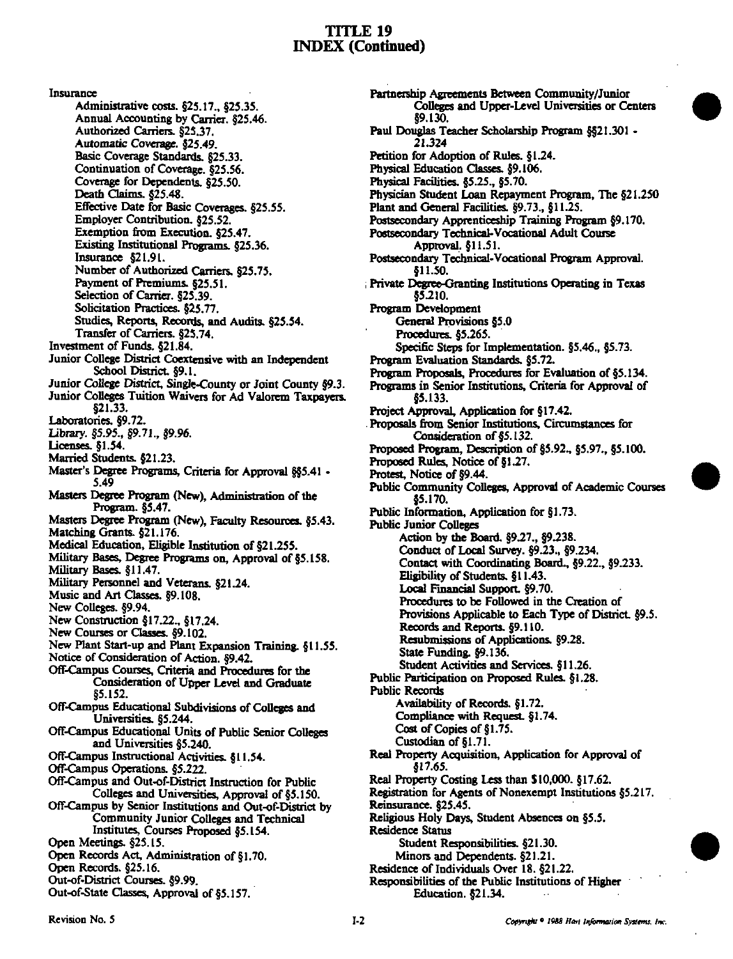Insurance

Administrative costs. §25.17., §25.35. Annual Accounting by Carrier. §25.46. Authorized Carriers. §25.37. Automatic Coverage, \$25.49. Basic Coverage Standards, §25.33. Continuation of Coverage. §25.56. Coverage for Dependents, 825.50. Death Claims. §25.48. Effective Date for Basic Coverages. §25.55. Employer Contribution. §25.52. Exemption from Execution. \$25.47. Existing Institutional Programs, §25.36. Insurance  $$21.91$ . Number of Authorized Carriers. §25.75. Payment of Premiums. §25.51. Selection of Carrier. §25,39. Solicitation Practices. §25.77. Studies, Reports, Records, and Audits. §25.54. Transfer of Carriers. §25.74. Investment of Funds. §21.84. Junior College District Coextensive with an Independent School District. §9.1. Junior College District, Single-County or Joint County §9.3. Junior Colleges Tuition Waivers for Ad Valorem Taxpayers. 821.33. Laboratories. §9.72. Library. §5.95., §9.71., §9.96. Licenses. §1.54. Married Students. §21.23. Master's Degree Programs, Criteria for Approval §§5.41 -5.49 Masters Degree Program (New), Administration of the Program. §5.47. Masters Degree Program (New), Faculty Resources. §5.43. Matching Grants. §21.176. Medical Education, Eligible Institution of §21.255. Military Bases, Degree Programs on, Approval of §5.158. Military Bases. §11.47. Military Personnel and Veterans. §21.24. Music and Art Classes. §9.108. New Colleges. §9.94. New Construction §17.22., §17.24. New Courses or Classes. §9.102. New Plant Start-up and Plant Expansion Training. §11.55. Notice of Consideration of Action. §9.42. Off-Campus Courses, Criteria and Procedures for the Consideration of Upper Level and Graduate 85.152. Off-Campus Educational Subdivisions of Colleges and Universities, §5.244. Off-Campus Educational Units of Public Senior Colleges and Universities §5.240. Off-Campus Instructional Activities. §11.54. Off-Campus Operations. §5.222. Off-Campus and Out-of-District Instruction for Public Colleges and Universities, Approval of §5.150. Off-Campus by Senior Institutions and Out-of-District by Community Junior Colleges and Technical Institutes, Courses Proposed §5.154. Open Meetings. §25.15. Open Records Act, Administration of §1.70. Open Records. §25.16. Out-of-District Courses. §9.99. Out-of-State Classes, Approval of §5.157.

Partnership Agreements Between Community/Junior Colleges and Upper-Level Universities or Centers **89 130.** Paul Douglas Teacher Scholarship Program \$521.301 -21.324 Petition for Adoption of Rules. §1.24. Physical Education Classes. §9.106. Physical Facilities, §5.25., §5.70. Physician Student Loan Repayment Program, The §21.250 Plant and General Facilities. §9.73., §11.25. Postsecondary Apprenticeship Training Program §9.170. Postsecondary Technical-Vocational Adult Course Approval, §11.51. Postsecondary Technical-Vocational Program Approval. \$11.50. Private Degree-Granting Institutions Operating in Texas \$5.210. Program Development General Provisions §5.0 Procedures, §5.265. Specific Steps for Implementation. §5.46., §5.73. Program Evaluation Standards, §5.72. Program Proposals, Procedures for Evaluation of §5.134. Programs in Senior Institutions, Criteria for Approval of \$5.133. Project Approval, Application for §17.42. Proposals from Senior Institutions, Circumstances for Consideration of §5.132. Proposed Program, Description of §5.92., §5.97., §5.100. Proposed Rules, Notice of §1.27. Protest, Notice of §9.44. Public Community Colleges, Approval of Academic Courses \$5.170. Public Information, Application for §1.73. **Public Junior Colleges** Action by the Board. §9.27., §9.238. Conduct of Local Survey. §9.23., §9.234. Contact with Coordinating Board., §9.22., §9.233. Eligibility of Students, §11.43. Local Financial Support. §9.70. Procedures to be Followed in the Creation of Provisions Applicable to Each Type of District. §9.5. Records and Reports. §9.110. Resubmissions of Applications. §9.28. State Funding. §9.136. Student Activities and Services. §11.26. Public Participation on Proposed Rules. §1.28. **Public Records** Availability of Records. §1.72. Compliance with Request. §1.74. Cost of Copies of §1.75. Custodian of §1.71. Real Property Acquisition, Application for Approval of \$17.65. Real Property Costing Less than \$10,000. §17.62. Registration for Agents of Nonexempt Institutions §5.217. Reinsurance. §25.45. Religious Holy Days, Student Absences on §5.5. **Residence Status** Student Responsibilities. §21.30. Minors and Dependents. §21.21. Residence of Individuals Over 18. §21.22. Responsibilities of the Public Institutions of Higher Education. §21.34.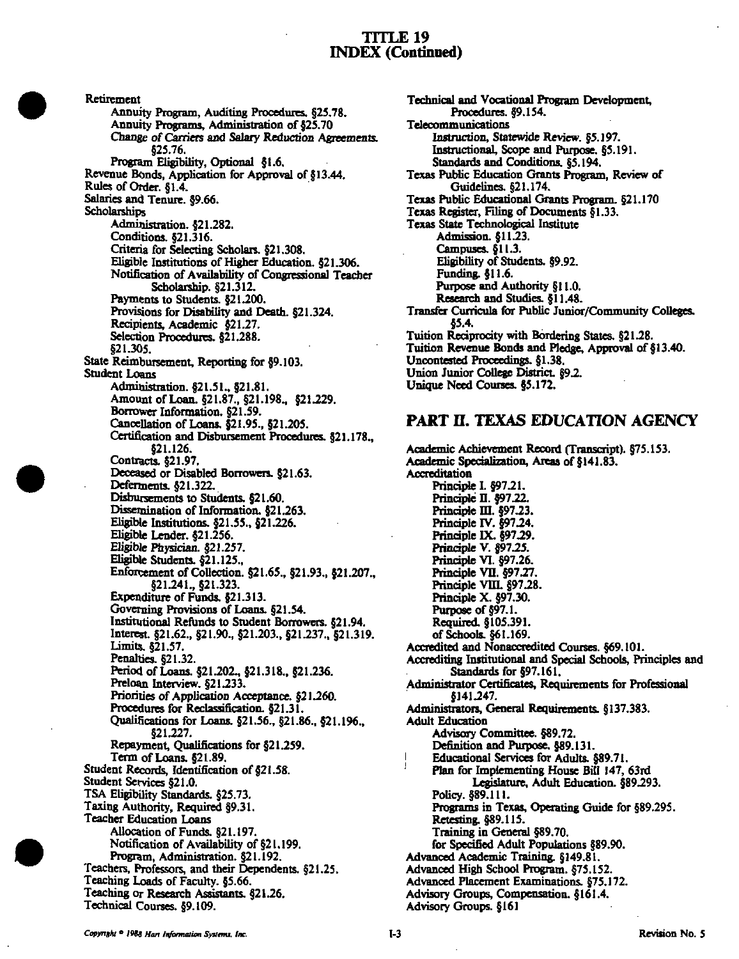Retirement Annuity Program, Auditing Procedures. §25.78. Annuity Programs, Administration of §25,70 Change of Carriers and Salary Reduction Agreements. §25.76. Program Eligibility, Optional §1.6. Revenue Bonds, Application for Approval of §13.44. Rules of Order. §1.4. Salaries and Tenure. §9.66. **Scholarships** Administration. §21.282. Conditions. §21.316. Criteria for Selecting Scholars. §21.308. Eligible Institutions of Higher Education. §21.306. Notification of Availability of Congressional Teacher Scholarship. §21.312. Payments to Students. §21.200. Provisions for Disability and Death. §21.324. Recipients, Academic §21.27. Selection Procedures. §21.288. §21.305. State Reimbursement, Reporting for §9.103. Student Loans Administration. §21.51., §21.81. Amount of Loan. §21.87., §21.198., §21.229. Borrower Information. §21.59. CanceUation of Loans. §21.95., §21.205. Certification and Disbursement Procedures. §21.178., §21.126. Contracts. §21.97. Deceased or Disabled Borrowers. §21.63. Deferments. §21.322. Disbursements to Students. §21.60. Dissemination of Information. §21.263, Eligible Institutions. §21.55., §21.226. Eligible Lender. §21.256. Eligible Physician. §21.257. Eligible Students. §21.125., Enforcement of CoUection. §21.65., §21.93., §21.207., §21.241., §21.323. Expenditure of Funds. §21.313. Governing Provisions of Loans. §21.54. Institutional Refunds to Student Borrowers. §21.94. Interest. §21.62., §21.90., §21.203.. §21.237., §21.319. Umits. §21.57. Penalties. §21.32. Period of Loans. §21.202.. §21.318,. §21.236. Preloan Interview. §21.233. Priorities of Application Acceptance. §21.260. Procedures for Reclassification. §21.31. Qualifications for Loans. §21.56., §21.86., §21.196.. §21.227. Repayment, (Qualifications for §21.259. Term of Loans. §21.89. Student Records, Identification of §21.58. Student Services §21.0. TSA Eligibility Standards. §25.73. Taxing Authority, Required §9.31. Teacher Education Loans AUocation of Funds. §21.197. Notification of Availability of §21.199. Program. Administration. §21.192. Teacheis, Professors, and their Dependents. §21.25. Teaching Loads of Faculty. §5.66. Teaching or Research Assistants. §21.26. Technical Courses. §9.109.

Technical and Vocational Program Development Procedures. §9.154. Telecommunications Instruction, Statewide Review. §5.197. Instructional, Scope and Purpose, §5.191. Standards and Conditions. §5.194. Texas Pubtic Education Grants Program, Review of Guidelines. §21.174. Texas Public Educational Grants Program. §21.170 Texas Register, Filing of Documents §1.33. Texas State Technological Institute Admission. §11.23. Campuses. §11.3. Eligibility of Students. §9.92. Funding. §11.6. Purpose and Authority §11.0. Research and Studies. §11.48. Transfer Curricula for Public Junior/Community Colleges. §5.4. Tuition Reciprocity with Bordering States. §21.28. Tuition Revenue Bonds and Pledge, Approval of §13.40. Uncontested Proceedings. §1.38. Union Junior College District. §9.2. Unique Need Courses. §5.172.

## PART II. TEXAS EDUCATION AGENCY

Academic Achievement Record (Transcript). §75.153. Academic Specialization, Areas of §141.83, Accreditation Principle L §97.21. Principle D. §97.22. Principle III. §97.23. Principle IV. §97.24. Principle IX. §97.29. Principle V. §97.25. Principle VI. §97.26. Principle VII. §97.27. Principle VIII. §97.28. Principle X. §97.30. Purpose of §97.1. Required. §105.391. of Schools. §61.169. Accredited and Nonaccredited Courses. §69.101. Accrediting Institutional and Special Schools, Principles and Standards for §97.161. Administrator Certificates, Requirements for Professional §]41J47. Administrators, General Requirements. §137.383. Adult Education Advisory Committee. §89.72. Definition and Purpose. §89.131. Educational Services for Adults. §89.71. Plan for Implementing House BiU 147, 63rd Legislature, Adult Education. §89.293. Policy. §89.111. Programs in Texas, Operating Guide for §89.295. Retesting. §89.115. Training in General §89.70. for Specified Adult Populations §89.90. Advanced Academic Training. §149,81, Advanced High School Program. §75.152. Advanced Placement Examinations. §75,172. Advisory Groups, Compensation. §161.4, Advisory Groups. §161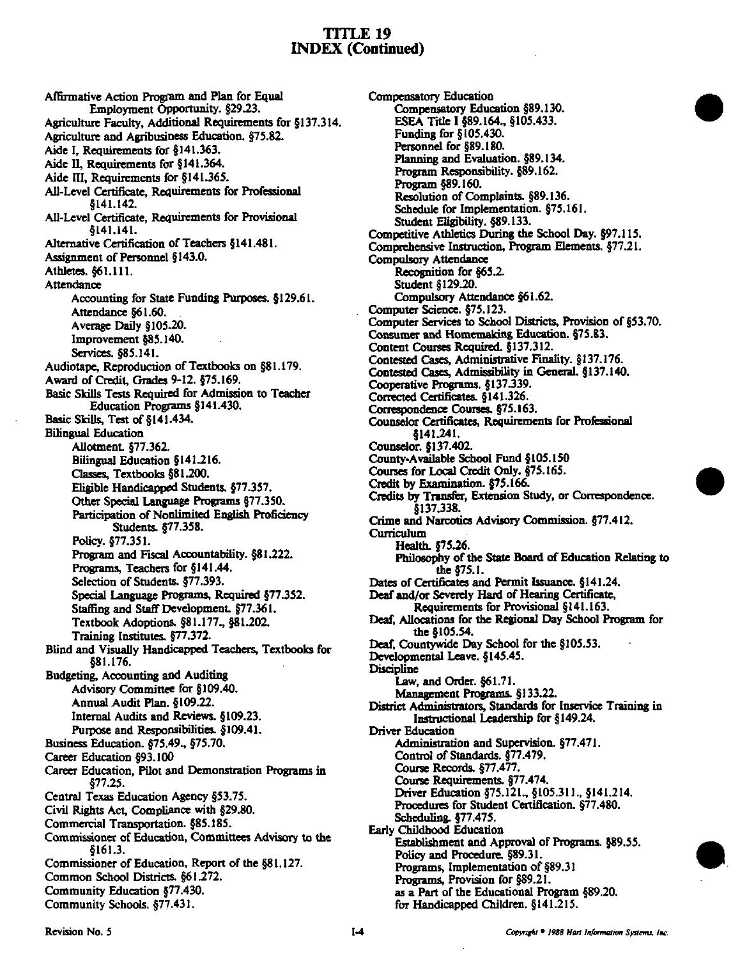Affirmative Action Program and Plan for Equal Employment Opportunity. §29.23. Agriculture Faculty, Additional Requirements for §137.314. Agriculture and Agribusiness Education. §75.82. Aide I, Requirements for §141.363. Aide II, Requirements for §141.364. Aide III, Requirements for §141.365. All-Level Certificate, Requirements for Professional 8141.142. All-Level Certificate. Requirements for Provisional  $$141.141.$ Alternative Certification of Teachers §141.481. Assignment of Personnel §143.0. Athletes. §61.111. Attendance Accounting for State Funding Purposes. §129.61. Attendance §61.60. Average Daily §105.20. Improvement §85,140. Services. §85.141. Audiotape, Reproduction of Textbooks on §81.179. Award of Credit, Grades 9-12. §75.169. Basic Skills Tests Required for Admission to Teacher Education Programs §141.430. Basic Skills, Test of §141.434. **Bilingual Education** Allotment. §77.362. Bilingual Education §141.216. Classes, Textbooks §81.200. Eligible Handicapped Students. §77.357. Other Special Language Programs §77.350. Participation of Nonlimited English Proficiency Students. §77.358. Policy. §77.351. Program and Fiscal Accountability. §81.222. Programs, Teachers for §141.44. Selection of Students. §77.393. Special Language Programs, Required §77.352. Staffing and Staff Development. §77.361. Textbook Adoptions. §81.177., §81.202. Training Institutes. §77.372. Blind and Visually Handicapped Teachers, Textbooks for §81.176. Budgeting, Accounting and Auditing Advisory Committee for §109.40. Annual Audit Plan, §109.22. Internal Audits and Reviews. §109.23. Purpose and Responsibilities. §109.41. Business Education. §75.49., §75.70. Career Education §93.100 Career Education, Pilot and Demonstration Programs in  $$77.25.$ Central Texas Education Agency §53.75. Civil Rights Act, Compliance with §29.80. Commercial Transportation. §85.185. Commissioner of Education, Committees Advisory to the \$161.3. Commissioner of Education, Report of the §81.127. Common School Districts. §61.272. Community Education §77.430. Community Schools. §77.431.

Compensatory Education Compensatory Education §89.130. ESEA Title 1 §89.164., §105.433. Funding for §105.430. Personnel for §89.180. Planning and Evaluation. §89.134. Program Responsibility. §89.162. Program §89.160. Resolution of Complaints. §89.136. Schedule for Implementation. §75.161. Student Eligibility. §89.133. Competitive Athletics During the School Day. §97.115. Comprehensive Instruction, Program Elements. §77.21. **Compulsory Attendance** Recognition for §65.2. Student §129.20. Compulsory Attendance §61.62. Computer Science. §75.123. Computer Services to School Districts, Provision of §53.70. Consumer and Homemaking Education. §75.83. Content Courses Required. §137.312. Contested Cases, Administrative Finality. §137.176. Contested Cases, Admissibility in General. §137.140. Cooperative Programs, §137.339. Corrected Certificates. §141.326. Correspondence Courses. §75.163. Counselor Certificates, Requirements for Professional §141.241. Counselor. §137.402. County-Available School Fund §105.150 Courses for Local Credit Only. §75.165. Credit by Examination. §75.166. Credits by Transfer, Extension Study, or Correspondence. \$137,338. Crime and Narcotics Advisory Commission. §77.412. Curriculum Health §75.26. Philosophy of the State Board of Education Relating to the \$75.1. Dates of Certificates and Permit Issuance. §141.24. Deaf and/or Severely Hard of Hearing Certificate, Requirements for Provisional §141.163. Deaf, Allocations for the Regional Day School Program for the §105.54. Deaf, Countywide Day School for the §105.53. Developmental Leave. §145.45. Discipline Law, and Order. §61.71. Management Programs. §133.22. District Administrators, Standards for Inservice Training in Instructional Leadership for §149.24. Driver Education Administration and Supervision. §77.471. Control of Standards. §77.479. Course Records, §77,477. Course Requirements. §77.474. Driver Education §75.121., §105.311., §141.214. Procedures for Student Certification. §77.480. Scheduling. §77.475. Early Childhood Education Establishment and Approval of Programs. §89.55. Policy and Procedure, §89.31. Programs, Implementation of §89.31 Programs, Provision for §89.21. as a Part of the Educational Program §89.20.

for Handicapped Children. §141.215.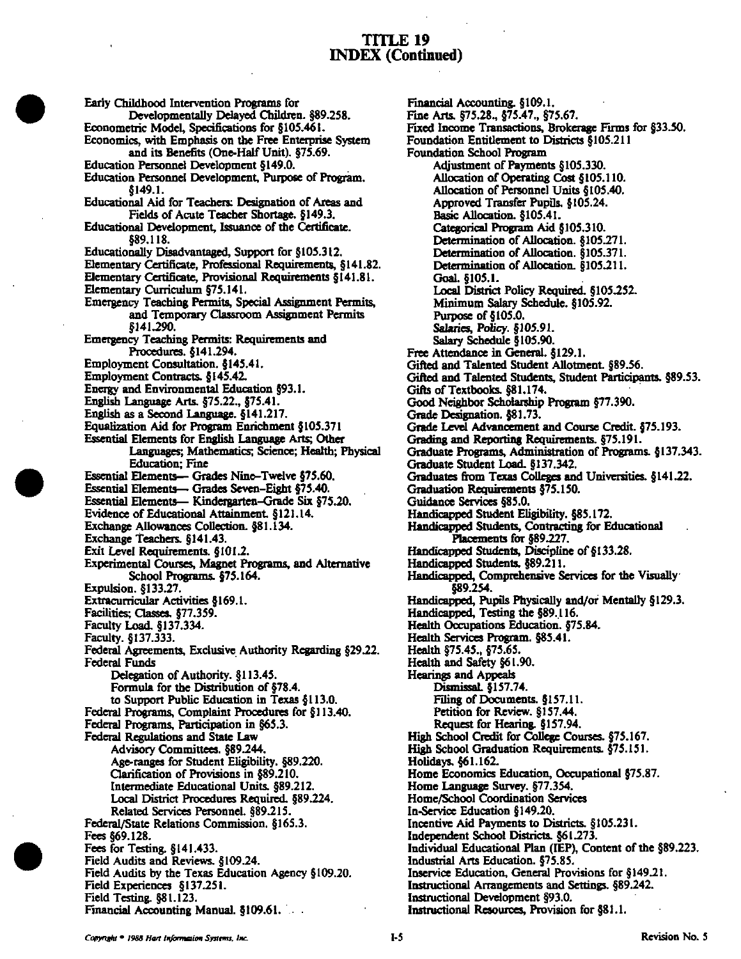Early Childhood Intervention Programs for Developmentally Delayed Children. §89.258. Econometric Model, Specifications for §105.461. Economics, with Emphasis on the Free Enterprise System and its Benefits (One-Half Unit). §75.69. Education Personnel Development §149.0. Education Personnel Development, Purpose of Program. §149.1. Educational Aid for Teachers: Designation of Areas and Fields of Acute Teacher Shortage. §149.3. Educational Development, Issuance of the Certificate. 889.118 Educationally Disadvantaged, Support for §105.312. Elementary Certificate, Professional Requirements, §141.82. Elementary Certificate, Provisional Requirements §141.81. Elementary Curriculum §75.141. Emergency Teaching Permits, Special Assignment Permits, and Temporary Classroom Assignment Permits §141.290. Emergency Teaching Permits: Requirements and Procedures. §141.294. Employment Consultation. §145.41. Employment Contracts. §145.42. Energy and Environmental Education §93.1. English Language Arts. §75.22., §75.41. English as a Second Language. §141.217. Equalization Aid for Program Enrichment §105.371 Essential Elements for English Language Arts; Other Languages; Mathematics; Science; Health; Physical **Education**; Fine Essential Elements— Grades Nine-Twelve §75.60. Essential Elements- Grades Seven-Eight §75.40. Essential Elements- Kindergarten-Grade Six §75.20. Evidence of Educational Attainment. §121.14. Exchange Allowances Collection. §81.134. Exchange Teachers. §141.43. Exit Level Requirements. §101.2. Experimental Courses, Magnet Programs, and Alternative School Programs. §75.164. Expulsion. §133.27 Extracurricular Activities §169.1. Facilities; Classes. §77.359. Faculty Load. §137.334. Faculty. §137.333. Federal Agreements, Exclusive Authority Regarding §29.22. **Federal Funds** Delegation of Authority. §113.45. Formula for the Distribution of §78.4. to Support Public Education in Texas §113.0. Federal Programs, Complaint Procedures for §113.40. Federal Programs, Participation in §65.3. Federal Regulations and State Law Advisory Committees. §89.244. Age-ranges for Student Eligibility. §89.220. Clarification of Provisions in §89.210. Intermediate Educational Units. §89.212 Local District Procedures Required. §89.224. Related Services Personnel. §89.215. Federal/State Relations Commission. §165.3. Fees §69.128. Fees for Testing. §141.433. Field Audits and Reviews. §109.24. Field Audits by the Texas Education Agency §109.20. Field Experiences §137.251. Field Testing. §81.123.

Financial Accounting. §109.1. Fine Arts. §75.28., §75.47., §75.67. Fixed Income Transactions, Brokerage Firms for §33.50. Foundation Entitlement to Districts §105.211 **Foundation School Program** Adjustment of Payments §105.330. Allocation of Operating Cost §105.110. Allocation of Personnel Units §105.40. Approved Transfer Pupils. §105.24. Basic Allocation. §105.41. Categorical Program Aid §105.310. Determination of Allocation. §105.271. Determination of Allocation. §105.371. Determination of Allocation. §105.211. Goal. §105.1. Local District Policy Required. §105.252. Minimum Salary Schedule. §105.92. Purpose of §105.0. Salaries, Policy. §105.91. Salary Schedule §105.90. Free Attendance in General. §129.1. Gifted and Talented Student Allotment. §89.56. Gifted and Talented Students, Student Participants. §89.53. Gifts of Textbooks. §81.174. Good Neighbor Scholarship Program §77.390. Grade Designation. §81.73. Grade Level Advancement and Course Credit. §75.193. Grading and Reporting Requirements. §75.191. Graduate Programs, Administration of Programs. §137.343. Graduate Student Load. §137.342. Graduates from Texas Colleges and Universities. §141.22. Graduation Requirements §75.150. Guidance Services §85.0. Handicapped Student Eligibility. §85.172. Handicapped Students, Contracting for Educational Placements for §89.227. Handicapped Students, Discipline of §133.28. Handicapped Students. §89.211. Handicapped, Comprehensive Services for the Visually §89.254. Handicapped, Pupils Physically and/or Mentally §129.3. Handicapped, Testing the §89.116. Health Occupations Education. §75.84. Health Services Program. §85.41. Health §75.45., §75.65. Health and Safety §61.90. **Hearings and Appeals** Dismissal. §157.74. Filing of Documents. §157.11. Petition for Review. §157.44. Request for Hearing. §157.94. High School Credit for College Courses. §75.167. High School Graduation Requirements. §75.151. Holidays. §61.162. Home Economics Education, Occupational §75.87. Home Language Survey. §77.354. Home/School Coordination Services In-Service Education §149.20. Incentive Aid Payments to Districts. §105.231. Independent School Districts. §61.273. Individual Educational Plan (IEP), Content of the §89.223. Industrial Arts Education. §75.85. Inservice Education, General Provisions for §149.21. Instructional Arrangements and Settings. §89.242. Instructional Development §93.0. Instructional Resources, Provision for §81.1.

Financial Accounting Manual §109.61.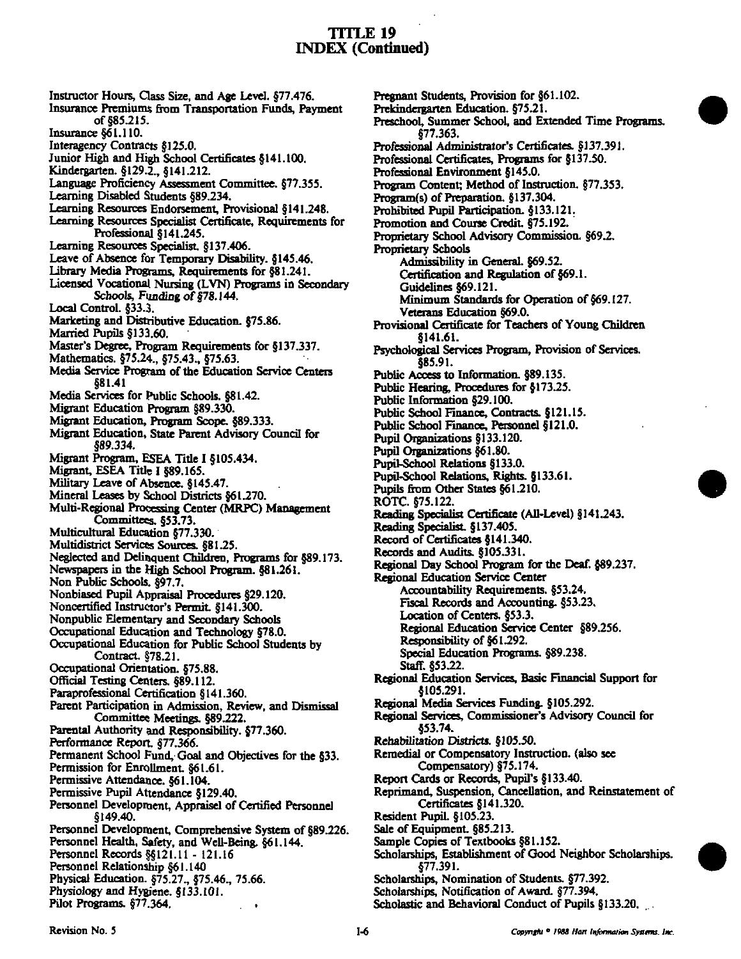Instructor Hours, Class Size, and Age Level. §77.476. Insurance Premiums from Transportation Funds, Payment of §85.215. Insurance §61.110. Interagency Contracts §125.0. Junior High and High School Certificates §141.100. Kindergarten. §129.2., §141.212. Language Proficiency Assessment Committee. §77.355. Learning Disabled Students §89.234. Learning Resources Endorsement, Provisional §141.248. Learning Resources Specialist Certificate, Requirements for Professional §141.245. Learning Resources Specialist, §137.406. Leave of Absence for Temporary Disability. §145.46. Library Media Programs, Requirements for §81.241. Licensed Vocational Nursing (LVN) Programs in Secondary Schools, Funding of §78.144. Local Control. §33.3. Marketing and Distributive Education. §75.86. Married Pupils §133.60. Master's Degree, Program Requirements for §137.337. Mathematics. §75.24., §75.43., §75.63. Media Service Program of the Education Service Centers §81.41 Media Services for Public Schools. §81.42. Migrant Education Program §89.330. Migrant Education, Program Scope. §89.333. Migrant Education, State Parent Advisory Council for §89.334. Migrant Program, ESEA Title I §105.434. Migrant, ESEA Title I §89.165. Military Leave of Absence. §145.47. Mineral Leases by School Districts §61.270. Multi-Regional Processing Center (MRPC) Management Committees. §53.73. Multicultural Education §77.330. Multidistrict Services Sources. §81.25. Neglected and Delinquent Children, Programs for §89.173. Newspapers in the High School Program. §81.261. Non Public Schools, §97.7. Nonbiased Pupil Appraisal Procedures §29.120. Noncertified Instructor's Permit. §141.300. Nonpublic Elementary and Secondary Schools Occupational Education and Technology §78.0. Occupational Education for Public School Students by Contract. §78.21. Occupational Orientation, \$75,88. Official Testing Centers. §89.112. Paraprofessional Certification §141.360. Parent Participation in Admission, Review, and Dismissal Committee Meetings. §89.222. Parental Authority and Responsibility. §77.360. Performance Report. §77.366. Permanent School Fund, Goal and Objectives for the §33. Permission for Enrollment. §61.61. Permissive Attendance. §61.104. Permissive Pupil Attendance §129.40. Personnel Development, Appraisel of Certified Personnel §149.40. Personnel Development, Comprehensive System of §89.226. Personnel Health, Safety, and Well-Being. §61.144. Personnel Records §§121.11 - 121.16 Personnel Relationship §61.140 Physical Education. §75.27., §75.46., 75.66. Physiology and Hygiene. §133.101. Pilot Programs. §77.364.

Pregnant Students, Provision for §61.102. Prekindergarten Education. §75.21. Preschool, Summer School, and Extended Time Programs. §77.363. Professional Administrator's Certificates. §137.391. Professional Certificates, Programs for §137.50. Professional Environment §145.0. Program Content; Method of Instruction. §77.353. Program(s) of Preparation. §137.304. Prohibited Pupil Participation. §133.121. Promotion and Course Credit. §75.192. Proprietary School Advisory Commission. §69.2. **Proprietary Schools** Admissibility in General. §69.52. Certification and Regulation of §69.1. Guidelines §69.121. Minimum Standards for Operation of §69.127. Veterans Education §69.0. Provisional Certificate for Teachers of Young Children 8141.61. Psychological Services Program, Provision of Services. \$85.91. Public Access to Information. §89.135. Public Hearing, Procedures for §173.25. Public Information §29.100. Public School Finance, Contracts. §121.15. Public School Finance, Personnel §121.0. Pupil Organizations §133.120. Pupil Organizations §61.80. Pupil-School Relations §133.0. Pupil-School Relations, Rights. §133.61. Pupils from Other States §61.210. ROTC. §75.122. Reading Specialist Certificate (All-Level) §141.243. Reading Specialist. §137.405. Record of Certificates §141.340. Records and Audits. §105.331. Regional Day School Program for the Deaf. §89.237. Regional Education Service Center Accountability Requirements. §53.24. Fiscal Records and Accounting. §53.23. Location of Centers. §53.3. Regional Education Service Center §89.256. Responsibility of §61.292. Special Education Programs. §89.238. Staff. §53.22. Regional Education Services, Basic Financial Support for \$105.291. Regional Media Services Funding. §105.292. Regional Services, Commissioner's Advisory Council for \$53.74. Rehabilitation Districts. §105.50. Remedial or Compensatory Instruction. (also see Compensatory) §75.174. Report Cards or Records, Pupil's §133.40. Reprimand, Suspension, Cancellation, and Reinstatement of Certificates §141.320. Resident Pupil. §105.23. Sale of Equipment. §85.213. Sample Copies of Textbooks §81.152. Scholarships, Establishment of Good Neighbor Scholarships. §77.391. Scholarships, Nomination of Students. §77.392. Scholarships, Notification of Award. §77.394. Scholastic and Behavioral Conduct of Pupils §133.20.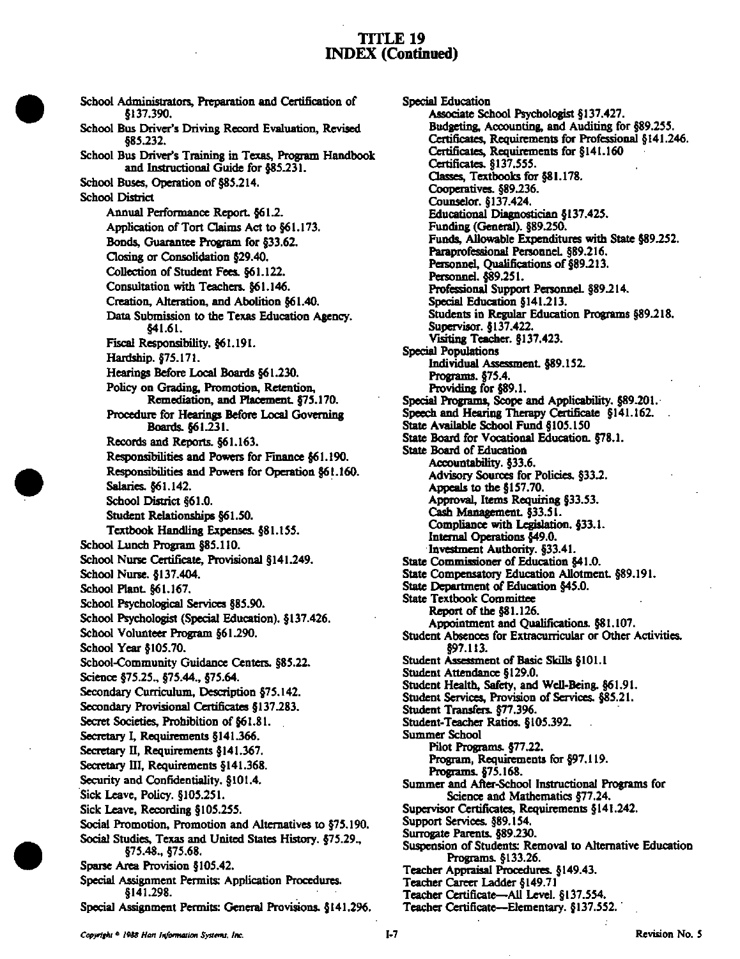School Administrators, Preparation and Certification of §137,390, School Bus Driver's Driving Record Evaluation, Revised §85.232. School Bus Driver's Training in Texas, Program Handbook<br>and Instructional Guide for §85.231. and Instructional Guide for §85.231. School Buses, Operation of §85.214. School District Annual Performance Report. §61.2. Application of Tort Claims Act to §61.173. Bonds, Guarantee Program for §33.62, Closing or Consolidation §29.40, CoUection of Student Fees. §61.122. Consultation with Teachers. §61.146. Creation, Alteration, and Abolition §61.40. Data Submission to the Texas Education Agency. §41.61. Fiscal Responsibility. §61.191. Hardship. §75.171. Hearings Before Local Boards §61.230. Policy on Grading, Promotion, Retention, Remediation, and Placement. §75.170. Procedure for Hearings Before Local Governing Boards. §61.231. Records and Reports. §61.163. Responsibilities and Powers for Finance §61.190. Responsibilities and Powers for Operation §61.160. Salaries. §61.142. School District §61.0. Student Relationships §61.50. Textbook Handling Expenses. §81.155. School Lunch Program §85.110. School Nurse Certificate, Provisional §141.249. School Nurse. §137.404. School Plant §61.167. School Psychological Services §85.90. School Psychologist (Special Education). §137.426. School Volunteer Program §61.290. School Year §105.70. School-Community Guidance Centers. §85.22. Science §75.25., §75.44., §75.64. Secondary Curriculum, Description §75.142. Secondary Provisional Certificates §137.283. Secret Societies, Prohibition of §61.81. Secretary I, Requirements §141.366. Secretary II, Requirements §141,367. Secretary III. Requirements §141.368. Security and Confidentiality, §101.4. Sick Leave, Policy. §105.251. Sick Leave, Recording §105,255. Social Promotion, Promotion and Alternatives to §75.190. Social Studies, Texas and United States History. §75.29., §75.48., §75.68. Sparse Area Provision §105.42. Special Assignment Permits: Application Procedures. §141.298. Spedal Assignment Pennits: General Provisions. §141.296.

Special Education Associate School Psychologist §137.427. Budgeting, Accounting, and Auditing for §89.255. Certificates, Requirements for Professional §141.246. Certificates, Requirements for §141.160 Certificates. §137.555. Oasses, Textbooks for §81.178. Cooperatives. §89.236. Counselor. §137.424. Educational Diagnostician §137.425. Funding (General). §89.250. Funds, AUowable Expenditures with State §89.252. Paraprofessional Personnel. §89.216. Personnel, Qualifications of §89.213. Personnd. §89.251. Professional Support Personnel. §89.214. Special Education §141.213. Students in Regular Education Programs §89.218. Supervisor. §137.422. Vishing Teacher. §137.423. Special Populations Individual Assessment §89.152. Programs. §75.4. Providing for §89.1. Special Programs, Scope and Applicability. §89.201. Speech and Hearing Therapy Certificate §141.162. State Available School Fund §105.150 State Board for Vocational Education. §78.1. State Board of Education Accountability. §33.6. Advisory Sources for Policies. §33.2. Appeals to the §157.70. Approval, Items Requiring §33.53. Cash Management §33.51. Compliance with Legislation. §33.1. Internal Operations §49.0. Investment Authority. §33.41. State Commissioner of Education §41.0. State Compensatory Education Allotment §89.191, State Department of Education §45.0. State Textbook Committee Report of the §81.126. Appointment and Qualifications. §81.107. Student Absences for Extracurricular or Other Activities. §97.113. Student Assessment of Basic Skills §101.1 Student Attendance §129.0. Student Health, Safety, and Well-Being. §61.91. Student Services, Provision of Services. §85.21. Student Transfers. §77.396. Student-Teacher Ratios. §105.392. Summer School Pilot Programs. §77.22. Program, Requirements for §97.119. Programs. §75.168. Summer and After-School Instructional Programs for Science and Mathematics §77.24. Supervisor Certificates, Requirements §141.242. Support Services. §89.154. Surrogate Parents. §89.230. Suspension of Students: Removal to Alternative Education Programs. §133.26. Teacher Appraisal Procedures. §149.43. Teacher Career Ladder §149.71 Teacher Certificate—AU Level. §137.554. Teacher Certificate—Elementary. §137.552.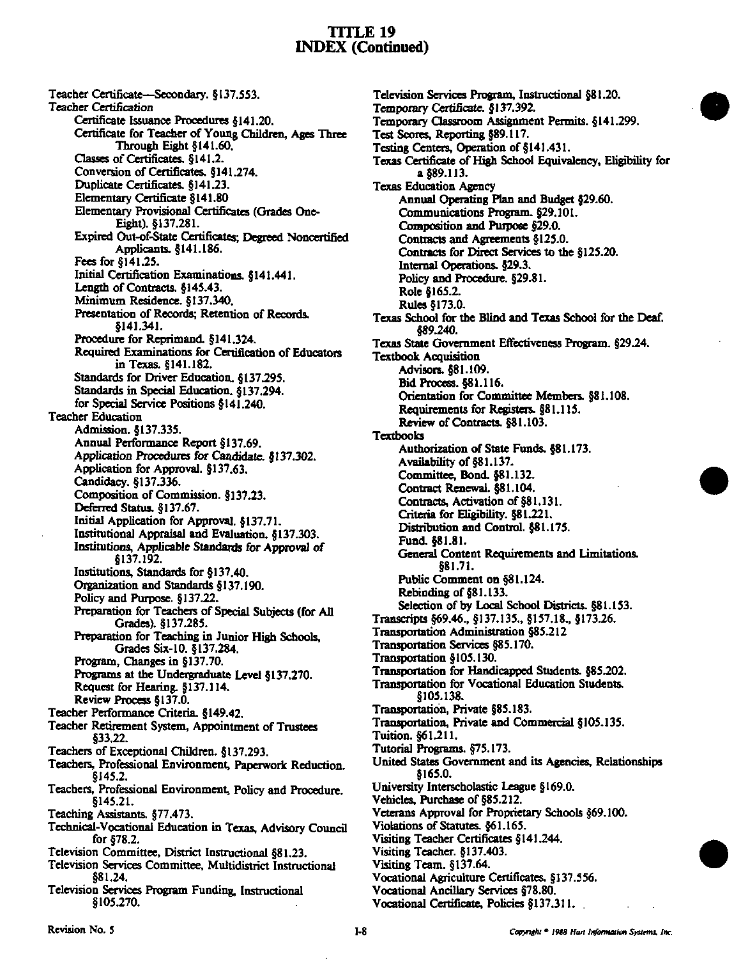Teacher Certificate—Secondary. §137.553. Teacher Certification Certificate Issuance Procedures §141.20. Certificate for Teacher of Young Children, Ages Three Through Eight §141.60. Classes of Certificates. §141.2. Conversion of Certificates. §141.274. Duplicate Certificates. §141.23. Elementary Certificate §141.80 Bementary Provisional Certificates (Grades One-Eight). §137.281. Expired Out-of-State (Certificates; Degreed Noncertified Applicants. §141.186. Fees for §141.25. Initial Certification Examinations. §141.441. Length of Contracts. §145.43. Minimum Residence. §137.340. Presentation of Records; Retention of Records. §141.341. Procedure for Reprimand. §141.324. Required Examinations for Certification of Educators in Texas. §141.182. Standards for Driver Education. §137.295. Standards in Special Education. §137.294. for Special Service Positions §141.240. Teacher Education Admission. §137.335. Annual Performance Report §137.69. Application Procedures for Candidate. §137.302. Application for Approval. §137.63. Candidacy, §137.336. Composition of Commission. §137.23. Deferred Status. §137.67. Initial Application for Approval. §137.71. Institutional Appraisal and Evaluation. §137.303. Institutions, Applicable Standards for Approval of §137.192. Institutions, Standards for §137.40. Organization and Standards §137.190. Policy and Purpose. §137,22. Preparation for Teachers of Special Subjects (for AU Grades). §137.285. Preparation for Teaching in Junior High Schools, Grades Six-10. §137.284. Program, Changes in §137.70. Programs at the Undergraduate Level §137.270. Request for Hearing. §137.114. Review Process §137.0. Teacher Performance Criteria. §149.42. Teacher Retirement System, Appointment of Trustees §33.22. Teachers of Exceptional Children. §137.293. Teachers, Professional Environment, Paperwork Reduction. §145.2. Teachers, Professional Environment, Policy and Procedure. §145.21. Teaching Assistants. §77.473. Technical-Vocational Education in Texas, Advisory Council for §78.2. Television Committee. District Instructional §81.23. Television Services Committee, Multidistrict Instructional §81,24, Television Services Program Funding, Instructional §105.270.

Television Services Program, Instructional §81.20. Temporary Certificate. §137.392. Temporary Classroom Assignment Pennits. §141.299. Test Scores, Reporting §89.117. Testing Centers, Operation of §141.431. Texas Certificate of High School Equivalency, Eligibility for a §89.113. Texas Education Agency Annual Operating Plan and Budget §29.60. Communications Program. §29.101. Composition and Purpose §29.0. Contracts and Agreements §125.0. Contracts for Direct Services to the §125.20. Internal Operations. §29.3. Policy and Procedure. §29.81. Role §165.2. Rules §173.0, Texas School for the Blind and Texas School for the Deaf. §89.240. Texas State Government Effectiveness Program, §29.24. Textbook Acquisition Advisors. §81.109. Bid Process. §8L 116. Orientation for Committee Members. §81,108. Requirements for Registers. §81.115. Review of Contracts. §81.103. Textbooks Authorization of State Funds. §81.173. Availability of §81.137. Committee, Bond. §81.132, Contract Renewal. §81.104. Contracts, Activation of §81.131. Criteria for Eligibility. §81.221, Distribution and Control. §81.175. Fund. §81.81. General Content Requirements and Umitations. §81.71. Pubtic Comment on §81.124. Rebinding of §81.133. Selection of by Local School Districts. §81.153. Transcripts §69.46., §137.135., §157.18., §173.26. Transportation Administration §85.212 Transportation Services §85.170. Transportation §105.130. Transportation for Handicapped Students. §85.202. Transportation for Vocational Education Students. §105.138. Transportation, Private §85.183. Transportation. Private and Commercial §105.135. Tuition. §61.211. Tutorial Programs. §75.173. United States Government and its Agencies, Relationships §165.0, University Interscholastic League §169.0. Vehicles, Purchase of §85.212. Veterans Approval for Proprietary Schools §69.100. Violations of Statutes. §61.165. Visiting Teacher Certificates §141.244. Visiting Teacher. §137.403. Visiting Team. §137.64. Vocational Agricuhure Certificates. §137.556. Vocational Ancillary Services §78.80.

Vocational Certificate, Policies §137.311.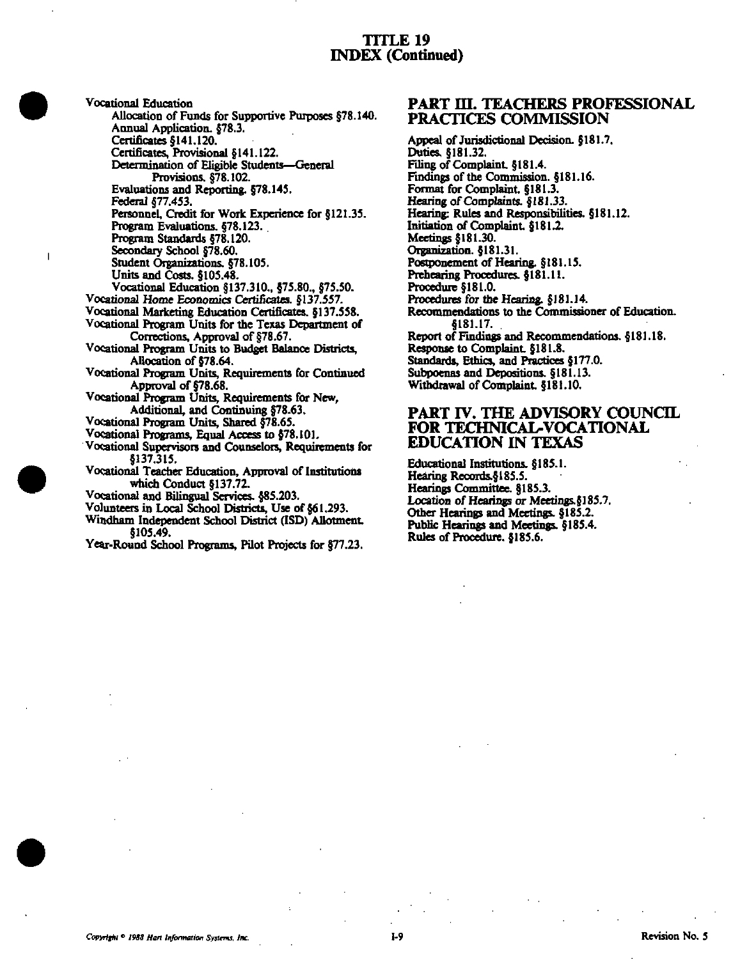Vocational Education Allocation of Funds for Supportive Purposes §78.140. Annual Application, \$78.3. Certificates §141.120. Certificates, Provisional §141.122. Determination of Eligible Students-General Provisions, §78.102. Evaluations and Reporting. §78.145. Federal 877.453. Personnel. Credit for Work Experience for §121.35. Program Evaluations, §78.123. Program Standards §78.120. Secondary School §78.60. Student Organizations. §78.105. Units and Costs. §105.48. Vocational Education §137.310., §75.80., §75.50. Vocational Home Economics Certificates. §137.557. Vocational Marketing Education Certificates. §137.558. Vocational Program Units for the Texas Department of Corrections, Approval of §78.67. Vocational Program Units to Budget Balance Districts, Allocation of §78.64. Vocational Program Units, Requirements for Continued Approval of §78.68. Vocational Program Units, Requirements for New, Additional, and Continuing §78.63.

Vocational Program Units, Shared §78.65.

 $\overline{\phantom{a}}$ 

Vocational Programs, Equal Access to §78.101.

Vocational Supervisors and Counselors, Requirements for

\$137,315. Vocational Teacher Education, Approval of Institutions which Conduct §137.72.

Vocational and Bilingual Services. §85.203.

Volunteers in Local School Districts, Use of §61,293.

Windham Independent School District (ISD) Allotment. §105.49.

Year-Round School Programs, Pilot Projects for §77.23.

#### **PART III. TEACHERS PROFESSIONAL** PRACTICES COMMISSION

Appeal of Jurisdictional Decision. §181.7. Duties, §181.32. Filing of Complaint, §181.4. Findings of the Commission. §181.16. Format for Complaint. §181.3. Hearing of Complaints, §181.33. Hearing: Rules and Responsibilities. §181.12. Initiation of Complaint, \$181.2. Meetings §181.30. Organization. §181.31. Postponement of Hearing. \$181.15. Prehearing Procedures, 8181.11. Procedure §181.0. Procedures for the Hearing. §181.14. Recommendations to the Commissioner of Education. 4181.17. Report of Findings and Recommendations. §181.18. Response to Complaint. §181.8. Standards, Ethics, and Practices §177.0. Subpoenas and Depositions. §181.13. Withdrawal of Complaint. §181.10.

#### PART IV. THE ADVISORY COUNCIL FOR TECHNICAL-VOCATIONAL **EDUCATION IN TEXAS**

Educational Institutions. §185.1. Hearing Records.§185.5. Hearings Committee. §185.3. Location of Hearings or Meetings. §185.7. Other Hearings and Meetings. §185.2. Public Hearings and Meetings. 6185.4. Rules of Procedure, \$185.6.

 $1.9$